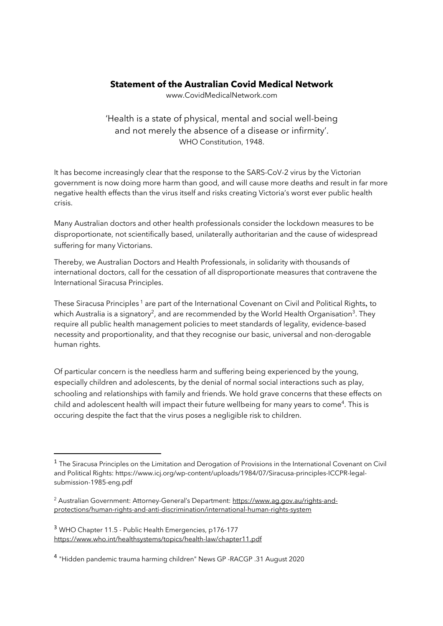## **Statement of the Australian Covid Medical Network**

www.CovidMedicalNetwork.com

'Health is a state of physical, mental and social well-being and not merely the absence of a disease or infirmity'. WHO Constitution, 1948.

It has become increasingly clear that the response to the SARS-CoV-2 virus by the Victorian government is now doing more harm than good, and will cause more deaths and result in far more negative health effects than the virus itself and risks creating Victoria's worst ever public health crisis.

Many Australian doctors and other health professionals consider the lockdown measures to be disproportionate, not scientifically based, unilaterally authoritarian and the cause of widespread suffering for many Victorians.

Thereby, we Australian Doctors and Health Professionals, in solidarity with thousands of international doctors, call for the cessation of all disproportionate measures that contravene the International Siracusa Principles.

These Siracusa Principles<sup>1</sup> are part of the International Covenant on Civil and Political Rights, to which Australia is a signatory<sup>2</sup>, and are recommended by the World Health Organisation<sup>3</sup>. They require all public health management policies to meet standards of legality, evidence-based necessity and proportionality, and that they recognise our basic, universal and non-derogable human rights.

Of particular concern is the needless harm and suffering being experienced by the young, especially children and adolescents, by the denial of normal social interactions such as play, schooling and relationships with family and friends. We hold grave concerns that these effects on child and adolescent health will impact their future wellbeing for many years to come<sup>4</sup>. This is occuring despite the fact that the virus poses a negligible risk to children.

<sup>&</sup>lt;sup>1</sup> The Siracusa Principles on the Limitation and Derogation of Provisions in the International Covenant on Civil and Political Rights: https://www.icj.org/wp-content/uploads/1984/07/Siracusa-principles-ICCPR-legalsubmission-1985-eng.pdf

<sup>&</sup>lt;sup>2</sup> Australian Government: Attorney-General's Department: https://www.ag.gov.au/rights-andprotections/human-rights-and-anti-discrimination/international-human-rights-system

<sup>3</sup> WHO Chapter 11.5 - Public Health Emergencies, p176-177 https://www.who.int/healthsystems/topics/health-law/chapter11.pdf

<sup>4</sup> "Hidden pandemic trauma harming children" News GP -RACGP .31 August 2020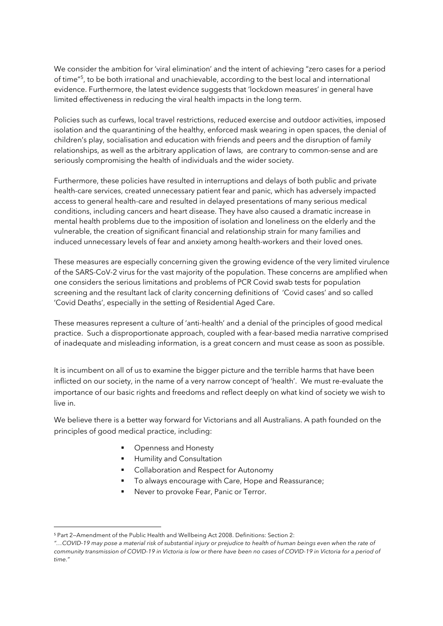We consider the ambition for 'viral elimination' and the intent of achieving "zero cases for a period of time"5, to be both irrational and unachievable, according to the best local and international evidence. Furthermore, the latest evidence suggests that 'lockdown measures' in general have limited effectiveness in reducing the viral health impacts in the long term.

Policies such as curfews, local travel restrictions, reduced exercise and outdoor activities, imposed isolation and the quarantining of the healthy, enforced mask wearing in open spaces, the denial of children's play, socialisation and education with friends and peers and the disruption of family relationships, as well as the arbitrary application of laws, are contrary to common-sense and are seriously compromising the health of individuals and the wider society.

Furthermore, these policies have resulted in interruptions and delays of both public and private health-care services, created unnecessary patient fear and panic, which has adversely impacted access to general health-care and resulted in delayed presentations of many serious medical conditions, including cancers and heart disease. They have also caused a dramatic increase in mental health problems due to the imposition of isolation and loneliness on the elderly and the vulnerable, the creation of significant financial and relationship strain for many families and induced unnecessary levels of fear and anxiety among health-workers and their loved ones.

These measures are especially concerning given the growing evidence of the very limited virulence of the SARS-CoV-2 virus for the vast majority of the population. These concerns are amplified when one considers the serious limitations and problems of PCR Covid swab tests for population screening and the resultant lack of clarity concerning definitions of 'Covid cases' and so called 'Covid Deaths', especially in the setting of Residential Aged Care.

These measures represent a culture of 'anti-health' and a denial of the principles of good medical practice. Such a disproportionate approach, coupled with a fear-based media narrative comprised of inadequate and misleading information, is a great concern and must cease as soon as possible.

It is incumbent on all of us to examine the bigger picture and the terrible harms that have been inflicted on our society, in the name of a very narrow concept of 'health'. We must re-evaluate the importance of our basic rights and freedoms and reflect deeply on what kind of society we wish to live in.

We believe there is a better way forward for Victorians and all Australians. A path founded on the principles of good medical practice, including:

- Openness and Honesty
- **E** Humility and Consultation
- Collaboration and Respect for Autonomy
- § To always encourage with Care, Hope and Reassurance;
- Never to provoke Fear, Panic or Terror.

<sup>5</sup> Part 2—Amendment of the Public Health and Wellbeing Act 2008. Definitions: Section 2:

*<sup>&</sup>quot;…COVID-19 may pose a material risk of substantial injury or prejudice to health of human beings even when the rate of community transmission of COVID-19 in Victoria is low or there have been no cases of COVID-19 in Victoria for a period of time."*